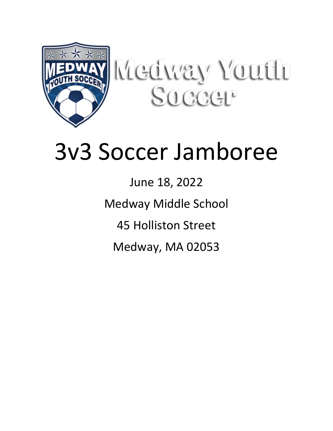

Kledway Youth Succet<sup>®</sup>

# 3v3 Soccer Jamboree

June 18, 2022 Medway Middle School 45 Holliston Street Medway, MA 02053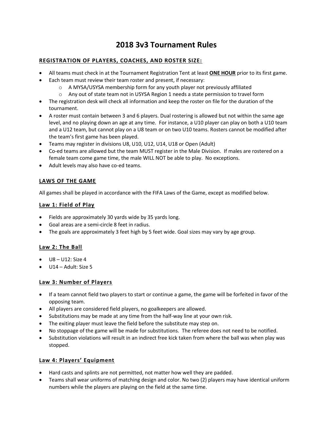## **2018 3v3 Tournament Rules**

#### **REGISTRATION OF PLAYERS, COACHES, AND ROSTER SIZE:**

- All teams must check in at the Tournament Registration Tent at least **ONE HOUR** prior to its first game.
- Each team must review their team roster and present, if necessary:
	- o A MYSA/USYSA membership form for any youth player not previously affiliated
	- $\circ$  Any out of state team not in USYSA Region 1 needs a state permission to travel form
- The registration desk will check all information and keep the roster on file for the duration of the tournament.
- A roster must contain between 3 and 6 players. Dual rostering is allowed but not within the same age level, and no playing down an age at any time. For instance, a U10 player can play on both a U10 team and a U12 team, but cannot play on a U8 team or on two U10 teams. Rosters cannot be modified after the team's first game has been played.
- Teams may register in divisions U8, U10, U12, U14, U18 or Open (Adult)
- Co-ed teams are allowed but the team MUST register in the Male Division. If males are rostered on a female team come game time, the male WILL NOT be able to play. No exceptions.
- Adult levels may also have co-ed teams.

#### **LAWS OF THE GAME**

All games shall be played in accordance with the FIFA Laws of the Game, except as modified below.

#### **Law 1: Field of Play**

- Fields are approximately 30 yards wide by 35 yards long.
- Goal areas are a semi-circle 8 feet in radius.
- The goals are approximately 3 feet high by 5 feet wide. Goal sizes may vary by age group.

#### **Law 2: The Ball**

- $\bullet$  U8 U12: Size 4
- U14 Adult: Size 5

#### **Law 3: Number of Players**

- If a team cannot field two players to start or continue a game, the game will be forfeited in favor of the opposing team.
- All players are considered field players, no goalkeepers are allowed.
- Substitutions may be made at any time from the half-way line at your own risk.
- The exiting player must leave the field before the substitute may step on.
- No stoppage of the game will be made for substitutions. The referee does not need to be notified.
- Substitution violations will result in an indirect free kick taken from where the ball was when play was stopped.

#### **Law 4: Players' Equipment**

- Hard casts and splints are not permitted, not matter how well they are padded.
- Teams shall wear uniforms of matching design and color. No two (2) players may have identical uniform numbers while the players are playing on the field at the same time.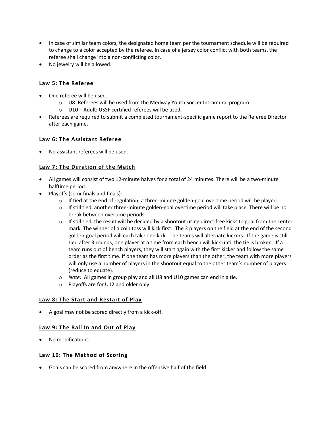- In case of similar team colors, the designated home team per the tournament schedule will be required to change to a color accepted by the referee. In case of a jersey color conflict with both teams, the referee shall change into a non-conflicting color.
- No jewelry will be allowed.

#### **Law 5: The Referee**

- One referee will be used.
	- $\circ$  U8: Referees will be used from the Medway Youth Soccer Intramural program.
	- o U10 Adult: USSF certified referees will be used.
- Referees are required to submit a completed tournament-specific game report to the Referee Director after each game.

#### **Law 6: The Assistant Referee**

• No assistant referees will be used.

#### **Law 7: The Duration of the Match**

- All games will consist of two 12-minute halves for a total of 24 minutes. There will be a two-minute halftime period.
- Playoffs (semi-finals and finals):
	- $\circ$  If tied at the end of regulation, a three-minute golden-goal overtime period will be played.
	- $\circ$  If still tied, another three-minute golden-goal overtime period will take place. There will be no break between overtime periods.
	- $\circ$  If still tied, the result will be decided by a shootout using direct free kicks to goal from the center mark. The winner of a coin toss will kick first. The 3 players on the field at the end of the second golden-goal period will each take one kick. The teams will alternate kickers. If the game is still tied after 3 rounds, one player at a time from each bench will kick until the tie is broken. If a team runs out of bench players, they will start again with the first kicker and follow the same order as the first time. If one team has more players than the other, the team with more players will only use a number of players in the shootout equal to the other team's number of players (reduce to equate).
	- o *Note:* All games in group play and all U8 and U10 games can end in a tie.
	- o Playoffs are for U12 and older only.

#### **Law 8: The Start and Restart of Play**

• A goal may not be scored directly from a kick-off.

#### **Law 9: The Ball In and Out of Play**

• No modifications.

#### **Law 10: The Method of Scoring**

• Goals can be scored from anywhere in the offensive half of the field.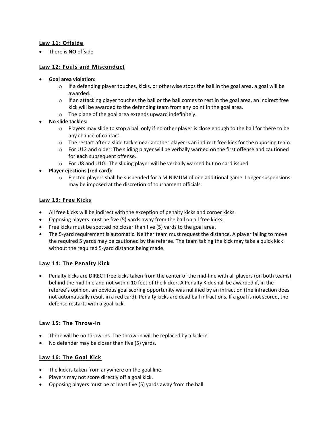#### **Law 11: Offside**

• There is **NO** offside

#### **Law 12: Fouls and Misconduct**

- **Goal area violation:**
	- $\circ$  If a defending player touches, kicks, or otherwise stops the ball in the goal area, a goal will be awarded.
	- $\circ$  If an attacking player touches the ball or the ball comes to rest in the goal area, an indirect free kick will be awarded to the defending team from any point in the goal area.
	- o The plane of the goal area extends upward indefinitely.

#### • **No slide tackles:**

- $\circ$  Players may slide to stop a ball only if no other player is close enough to the ball for there to be any chance of contact.
- o The restart after a slide tackle near another player is an indirect free kick for the opposing team.
- $\circ$  For U12 and older: The sliding player will be verbally warned on the first offense and cautioned for **each** subsequent offense.
- $\circ$  For U8 and U10: The sliding player will be verbally warned but no card issued.
- **Player ejections (red card):**
	- $\circ$  Ejected players shall be suspended for a MINIMUM of one additional game. Longer suspensions may be imposed at the discretion of tournament officials.

#### **Law 13: Free Kicks**

- All free kicks will be indirect with the exception of penalty kicks and corner kicks.
- Opposing players must be five (5) yards away from the ball on all free kicks.
- Free kicks must be spotted no closer than five (5) yards to the goal area.
- The 5-yard requirement is automatic. Neither team must request the distance. A player failing to move the required 5 yards may be cautioned by the referee. The team taking the kick may take a quick kick without the required 5-yard distance being made.

#### **Law 14: The Penalty Kick**

• Penalty kicks are DIRECT free kicks taken from the center of the mid-line with all players (on both teams) behind the mid-line and not within 10 feet of the kicker. A Penalty Kick shall be awarded if, in the referee's opinion, an obvious goal scoring opportunity was nullified by an infraction (the infraction does not automatically result in a red card). Penalty kicks are dead ball infractions. If a goal is not scored, the defense restarts with a goal kick.

#### **Law 15: The Throw-in**

- There will be no throw-ins. The throw-in will be replaced by a kick-in.
- No defender may be closer than five (5) yards.

#### **Law 16: The Goal Kick**

- The kick is taken from anywhere on the goal line.
- Players may not score directly off a goal kick.
- Opposing players must be at least five (5) yards away from the ball.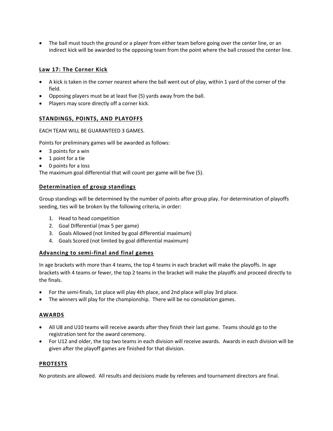• The ball must touch the ground or a player from either team before going over the center line, or an indirect kick will be awarded to the opposing team from the point where the ball crossed the center line.

#### **Law 17: The Corner Kick**

- A kick is taken in the corner nearest where the ball went out of play, within 1 yard of the corner of the field.
- Opposing players must be at least five (5) yards away from the ball.
- Players may score directly off a corner kick.

#### **STANDINGS, POINTS, AND PLAYOFFS**

#### EACH TEAM WILL BE GUARANTEED 3 GAMES.

Points for preliminary games will be awarded as follows:

- 3 points for a win
- 1 point for a tie
- 0 points for a loss

The maximum goal differential that will count per game will be five (5).

#### **Determination of group standings**

Group standings will be determined by the number of points after group play. For determination of playoffs seeding, ties will be broken by the following criteria, in order:

- 1. Head to head competition
- 2. Goal Differential (max 5 per game)
- 3. Goals Allowed (not limited by goal differential maximum)
- 4. Goals Scored (not limited by goal differential maximum)

#### **Advancing to semi-final and final games**

In age brackets with more than 4 teams, the top 4 teams in each bracket will make the playoffs. In age brackets with 4 teams or fewer, the top 2 teams in the bracket will make the playoffs and proceed directly to the finals.

- For the semi-finals, 1st place will play 4th place, and 2nd place will play 3rd place.
- The winners will play for the championship. There will be no consolation games.

#### **AWARDS**

- All U8 and U10 teams will receive awards after they finish their last game. Teams should go to the registration tent for the award ceremony.
- For U12 and older, the top two teams in each division will receive awards. Awards in each division will be given after the playoff games are finished for that division.

#### **PROTESTS**

No protests are allowed. All results and decisions made by referees and tournament directors are final.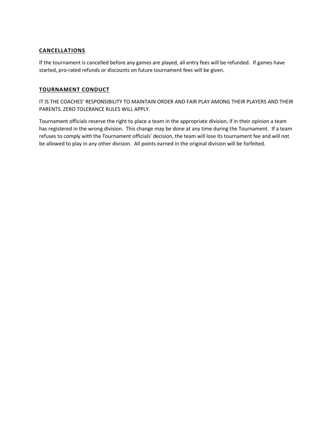#### **CANCELLATIONS**

If the tournament is cancelled before any games are played, all entry fees will be refunded. If games have started, pro-rated refunds or discounts on future tournament fees will be given.

#### **TOURNAMENT CONDUCT**

IT IS THE COACHES' RESPONSIBILITY TO MAINTAIN ORDER AND FAIR PLAY AMONG THEIR PLAYERS AND THEIR PARENTS. ZERO TOLERANCE RULES WILL APPLY.

Tournament officials reserve the right to place a team in the appropriate division, if in their opinion a team has registered in the wrong division. This change may be done at any time during the Tournament. If a team refuses to comply with the Tournament officials' decision, the team will lose its tournament fee and will not be allowed to play in any other division. All points earned in the original division will be forfeited.